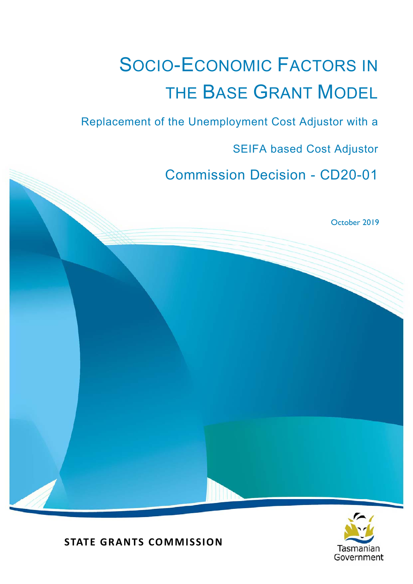# SOCIO-ECONOMIC FACTORS IN THE BASE GRANT MODEL

Replacement of the Unemployment Cost Adjustor with a

SEIFA based Cost Adjustor

Commission Decision - CD20-01

October 2019



**STATE GRANTS COMMISSION**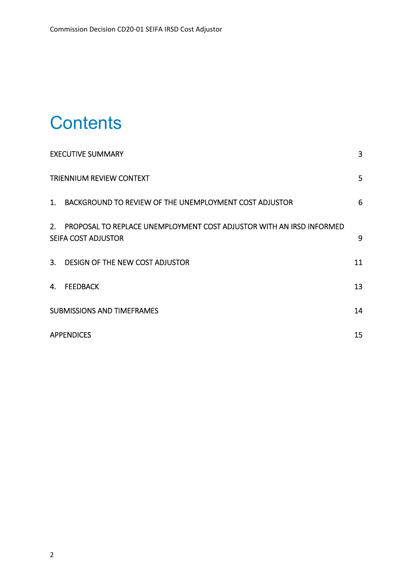## **Contents**

|                | <b>EXECUTIVE SUMMARY</b>                                                                    | 3  |
|----------------|---------------------------------------------------------------------------------------------|----|
|                | <b>TRIENNIUM REVIEW CONTEXT</b>                                                             | 5  |
| 1 <sup>1</sup> | BACKGROUND TO REVIEW OF THE UNEMPLOYMENT COST ADJUSTOR                                      | 6  |
| 2.             | PROPOSAL TO REPLACE UNEMPLOYMENT COST ADJUSTOR WITH AN IRSD INFORMED<br>SEIFA COST ADJUSTOR | 9  |
|                | 3. DESIGN OF THE NEW COST ADJUSTOR                                                          | 11 |
| 4.             | <b>FEEDBACK</b>                                                                             | 13 |
|                | <b>SUBMISSIONS AND TIMEFRAMES</b>                                                           | 14 |
|                | <b>APPENDICES</b>                                                                           | 15 |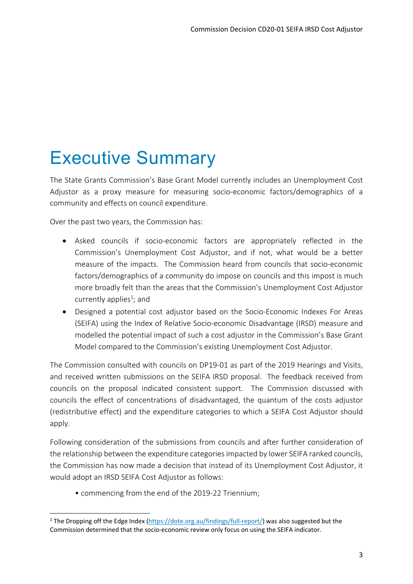## Executive Summary

The State Grants Commission's Base Grant Model currently includes an Unemployment Cost Adjustor as a proxy measure for measuring socio‐economic factors/demographics of a community and effects on council expenditure.

Over the past two years, the Commission has:

- Asked councils if socio‐economic factors are appropriately reflected in the Commission's Unemployment Cost Adjustor, and if not, what would be a better measure of the impacts. The Commission heard from councils that socio-economic factors/demographics of a community do impose on councils and this impost is much more broadly felt than the areas that the Commission's Unemployment Cost Adjustor currently applies<sup>1</sup>; and
- Designed a potential cost adjustor based on the Socio-Economic Indexes For Areas (SEIFA) using the Index of Relative Socio‐economic Disadvantage (IRSD) measure and modelled the potential impact of such a cost adjustor in the Commission's Base Grant Model compared to the Commission's existing Unemployment Cost Adjustor.

The Commission consulted with councils on DP19‐01 as part of the 2019 Hearings and Visits, and received written submissions on the SEIFA IRSD proposal. The feedback received from councils on the proposal indicated consistent support. The Commission discussed with councils the effect of concentrations of disadvantaged, the quantum of the costs adjustor (redistributive effect) and the expenditure categories to which a SEIFA Cost Adjustor should apply.

Following consideration of the submissions from councils and after further consideration of the relationship between the expenditure categories impacted by lower SEIFA ranked councils, the Commission has now made a decision that instead of its Unemployment Cost Adjustor, it would adopt an IRSD SEIFA Cost Adjustor as follows:

• commencing from the end of the 2019‐22 Triennium;

<sup>&</sup>lt;sup>1</sup> The Dropping off the Edge Index (https://dote.org.au/findings/full-report/) was also suggested but the Commission determined that the socio‐economic review only focus on using the SEIFA indicator.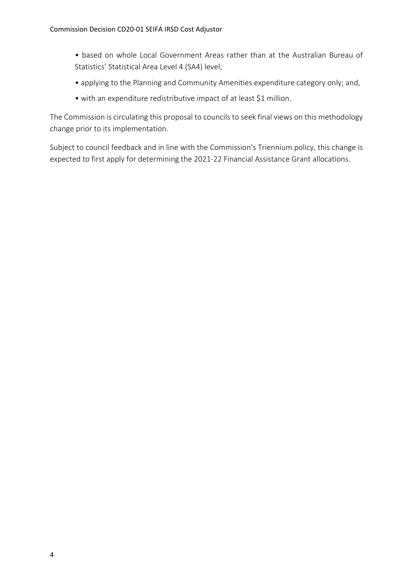- based on whole Local Government Areas rather than at the Australian Bureau of Statistics' Statistical Area Level 4 (SA4) level;
- applying to the Planning and Community Amenities expenditure category only; and,
- with an expenditure redistributive impact of at least \$1 million.

The Commission is circulating this proposal to councils to seek final views on this methodology change prior to its implementation.

Subject to council feedback and in line with the Commission's Triennium policy, this change is expected to first apply for determining the 2021‐22 Financial Assistance Grant allocations.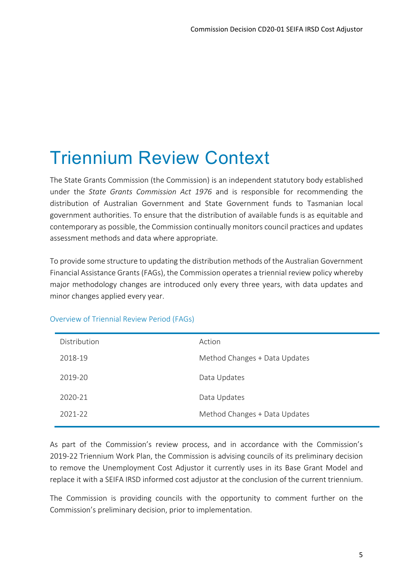## Triennium Review Context

The State Grants Commission (the Commission) is an independent statutory body established under the *State Grants Commission Act 1976* and is responsible for recommending the distribution of Australian Government and State Government funds to Tasmanian local government authorities. To ensure that the distribution of available funds is as equitable and contemporary as possible, the Commission continually monitors council practices and updates assessment methods and data where appropriate.

To provide some structure to updating the distribution methods of the Australian Government Financial Assistance Grants (FAGs), the Commission operates a triennial review policy whereby major methodology changes are introduced only every three years, with data updates and minor changes applied every year.

| Distribution | Action                        |
|--------------|-------------------------------|
| 2018-19      | Method Changes + Data Updates |
| 2019-20      | Data Updates                  |
| 2020-21      | Data Updates                  |
| 2021-22      | Method Changes + Data Updates |
|              |                               |

#### Overview of Triennial Review Period (FAGs)

As part of the Commission's review process, and in accordance with the Commission's 2019-22 Triennium Work Plan, the Commission is advising councils of its preliminary decision to remove the Unemployment Cost Adjustor it currently uses in its Base Grant Model and replace it with a SEIFA IRSD informed cost adjustor at the conclusion of the current triennium.

The Commission is providing councils with the opportunity to comment further on the Commission's preliminary decision, prior to implementation.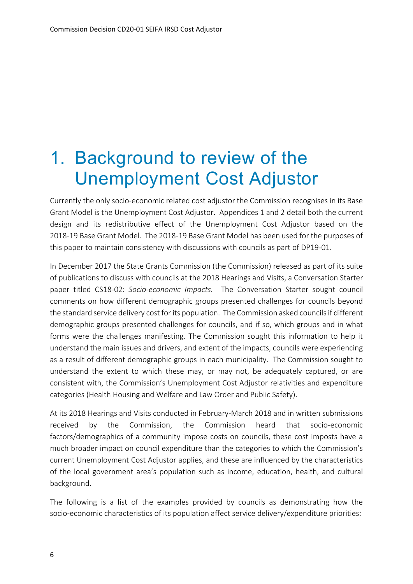### 1. Background to review of the Unemployment Cost Adjustor

Currently the only socio‐economic related cost adjustor the Commission recognises in its Base Grant Model is the Unemployment Cost Adjustor. Appendices 1 and 2 detail both the current design and its redistributive effect of the Unemployment Cost Adjustor based on the 2018‐19 Base Grant Model. The 2018‐19 Base Grant Model has been used for the purposes of this paper to maintain consistency with discussions with councils as part of DP19‐01.

In December 2017 the State Grants Commission (the Commission) released as part of its suite of publications to discuss with councils at the 2018 Hearings and Visits, a Conversation Starter paper titled CS18-02: *Socio-economic Impacts*. The Conversation Starter sought council comments on how different demographic groups presented challenges for councils beyond the standard service delivery cost for its population. The Commission asked councils if different demographic groups presented challenges for councils, and if so, which groups and in what forms were the challenges manifesting. The Commission sought this information to help it understand the main issues and drivers, and extent of the impacts, councils were experiencing as a result of different demographic groups in each municipality. The Commission sought to understand the extent to which these may, or may not, be adequately captured, or are consistent with, the Commission's Unemployment Cost Adjustor relativities and expenditure categories (Health Housing and Welfare and Law Order and Public Safety).

At its 2018 Hearings and Visits conducted in February‐March 2018 and in written submissions received by the Commission, the Commission heard that socio‐economic factors/demographics of a community impose costs on councils, these cost imposts have a much broader impact on council expenditure than the categories to which the Commission's current Unemployment Cost Adjustor applies, and these are influenced by the characteristics of the local government area's population such as income, education, health, and cultural background.

The following is a list of the examples provided by councils as demonstrating how the socio‐economic characteristics of its population affect service delivery/expenditure priorities: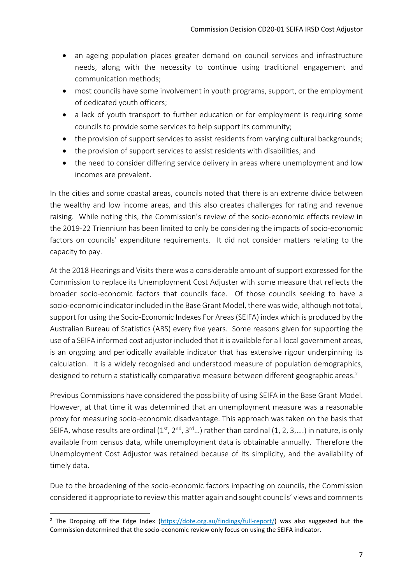- an ageing population places greater demand on council services and infrastructure needs, along with the necessity to continue using traditional engagement and communication methods;
- most councils have some involvement in youth programs, support, or the employment of dedicated youth officers;
- a lack of youth transport to further education or for employment is requiring some councils to provide some services to help support its community;
- the provision of support services to assist residents from varying cultural backgrounds;
- the provision of support services to assist residents with disabilities; and
- the need to consider differing service delivery in areas where unemployment and low incomes are prevalent.

In the cities and some coastal areas, councils noted that there is an extreme divide between the wealthy and low income areas, and this also creates challenges for rating and revenue raising. While noting this, the Commission's review of the socio‐economic effects review in the 2019‐22 Triennium has been limited to only be considering the impacts of socio‐economic factors on councils' expenditure requirements. It did not consider matters relating to the capacity to pay.

At the 2018 Hearings and Visits there was a considerable amount of support expressed for the Commission to replace its Unemployment Cost Adjuster with some measure that reflects the broader socio-economic factors that councils face. Of those councils seeking to have a socio‐economic indicator included in the Base Grant Model, there was wide, although not total, support for using the Socio‐Economic Indexes For Areas (SEIFA) index which is produced by the Australian Bureau of Statistics (ABS) every five years. Some reasons given for supporting the use of a SEIFA informed cost adjustor included that it is available for all local government areas, is an ongoing and periodically available indicator that has extensive rigour underpinning its calculation. It is a widely recognised and understood measure of population demographics, designed to return a statistically comparative measure between different geographic areas.<sup>2</sup>

Previous Commissions have considered the possibility of using SEIFA in the Base Grant Model. However, at that time it was determined that an unemployment measure was a reasonable proxy for measuring socio‐economic disadvantage. This approach was taken on the basis that SEIFA, whose results are ordinal  $(1^{st}, 2^{nd}, 3^{rd} ...)$  rather than cardinal  $(1, 2, 3, ...)$  in nature, is only available from census data, while unemployment data is obtainable annually. Therefore the Unemployment Cost Adjustor was retained because of its simplicity, and the availability of timely data.

Due to the broadening of the socio-economic factors impacting on councils, the Commission considered it appropriate to review this matter again and sought councils' views and comments

<sup>&</sup>lt;sup>2</sup> The Dropping off the Edge Index (https://dote.org.au/findings/full-report/) was also suggested but the Commission determined that the socio‐economic review only focus on using the SEIFA indicator.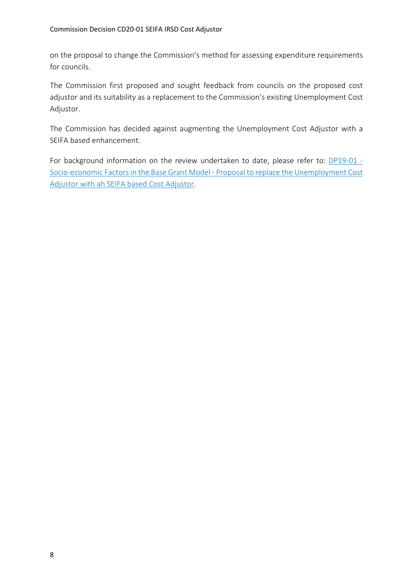on the proposal to change the Commission's method for assessing expenditure requirements for councils.

The Commission first proposed and sought feedback from councils on the proposed cost adjustor and its suitability as a replacement to the Commission's existing Unemployment Cost Adjustor.

The Commission has decided against augmenting the Unemployment Cost Adjustor with a SEIFA based enhancement.

For background information on the review undertaken to date, please refer to: DP19-01 -Socio‐economic Factors in the Base Grant Model ‐ Proposal to replace the Unemployment Cost Adjustor with ah SEIFA based Cost Adjustor.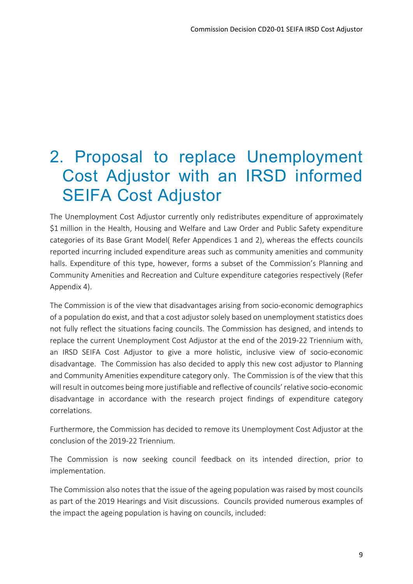### 2. Proposal to replace Unemployment Cost Adjustor with an IRSD informed SEIFA Cost Adjustor

The Unemployment Cost Adjustor currently only redistributes expenditure of approximately \$1 million in the Health, Housing and Welfare and Law Order and Public Safety expenditure categories of its Base Grant Model( Refer Appendices 1 and 2), whereas the effects councils reported incurring included expenditure areas such as community amenities and community halls. Expenditure of this type, however, forms a subset of the Commission's Planning and Community Amenities and Recreation and Culture expenditure categories respectively (Refer Appendix 4).

The Commission is of the view that disadvantages arising from socio-economic demographics of a population do exist, and that a cost adjustor solely based on unemployment statistics does not fully reflect the situations facing councils. The Commission has designed, and intends to replace the current Unemployment Cost Adjustor at the end of the 2019‐22 Triennium with, an IRSD SEIFA Cost Adjustor to give a more holistic, inclusive view of socio-economic disadvantage. The Commission has also decided to apply this new cost adjustor to Planning and Community Amenities expenditure category only. The Commission is of the view that this will result in outcomes being more justifiable and reflective of councils' relative socio‐economic disadvantage in accordance with the research project findings of expenditure category correlations.

Furthermore, the Commission has decided to remove its Unemployment Cost Adjustor at the conclusion of the 2019‐22 Triennium.

The Commission is now seeking council feedback on its intended direction, prior to implementation.

The Commission also notes that the issue of the ageing population was raised by most councils as part of the 2019 Hearings and Visit discussions. Councils provided numerous examples of the impact the ageing population is having on councils, included: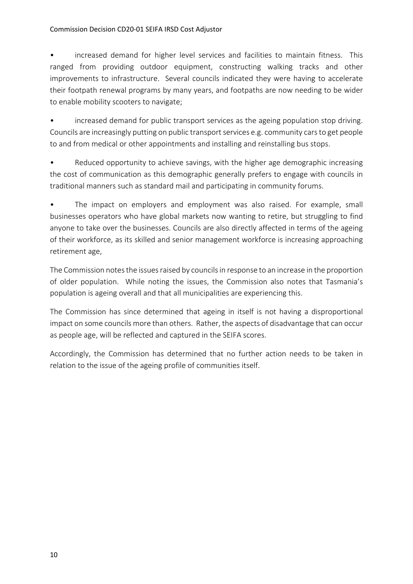#### Commission Decision CD20‐01 SEIFA IRSD Cost Adjustor

• increased demand for higher level services and facilities to maintain fitness. This ranged from providing outdoor equipment, constructing walking tracks and other improvements to infrastructure. Several councils indicated they were having to accelerate their footpath renewal programs by many years, and footpaths are now needing to be wider to enable mobility scooters to navigate;

increased demand for public transport services as the ageing population stop driving. Councils are increasingly putting on public transport services e.g. community cars to get people to and from medical or other appointments and installing and reinstalling bus stops.

Reduced opportunity to achieve savings, with the higher age demographic increasing the cost of communication as this demographic generally prefers to engage with councils in traditional manners such as standard mail and participating in community forums.

• The impact on employers and employment was also raised. For example, small businesses operators who have global markets now wanting to retire, but struggling to find anyone to take over the businesses. Councils are also directly affected in terms of the ageing of their workforce, as its skilled and senior management workforce is increasing approaching retirement age,

The Commission notes the issues raised by councils in response to an increase in the proportion of older population. While noting the issues, the Commission also notes that Tasmania's population is ageing overall and that all municipalities are experiencing this.

The Commission has since determined that ageing in itself is not having a disproportional impact on some councils more than others. Rather, the aspects of disadvantage that can occur as people age, will be reflected and captured in the SEIFA scores.

Accordingly, the Commission has determined that no further action needs to be taken in relation to the issue of the ageing profile of communities itself.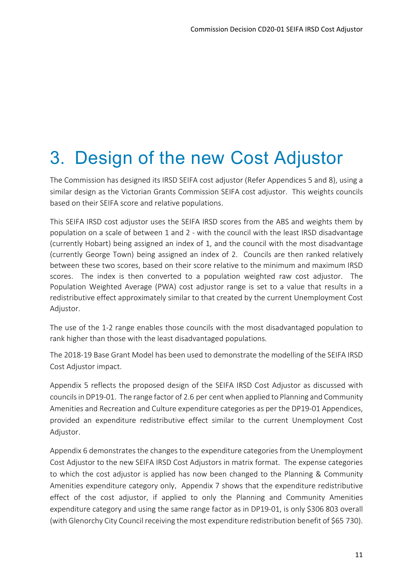# 3. Design of the new Cost Adjustor

The Commission has designed its IRSD SEIFA cost adjustor (Refer Appendices 5 and 8), using a similar design as the Victorian Grants Commission SEIFA cost adjustor. This weights councils based on their SEIFA score and relative populations.

This SEIFA IRSD cost adjustor uses the SEIFA IRSD scores from the ABS and weights them by population on a scale of between 1 and 2 ‐ with the council with the least IRSD disadvantage (currently Hobart) being assigned an index of 1, and the council with the most disadvantage (currently George Town) being assigned an index of 2. Councils are then ranked relatively between these two scores, based on their score relative to the minimum and maximum IRSD scores. The index is then converted to a population weighted raw cost adjustor. The Population Weighted Average (PWA) cost adjustor range is set to a value that results in a redistributive effect approximately similar to that created by the current Unemployment Cost Adjustor.

The use of the 1‐2 range enables those councils with the most disadvantaged population to rank higher than those with the least disadvantaged populations.

The 2018‐19 Base Grant Model has been used to demonstrate the modelling of the SEIFA IRSD Cost Adjustor impact.

Appendix 5 reflects the proposed design of the SEIFA IRSD Cost Adjustor as discussed with councils in DP19‐01. The range factor of 2.6 per cent when applied to Planning and Community Amenities and Recreation and Culture expenditure categories as per the DP19‐01 Appendices, provided an expenditure redistributive effect similar to the current Unemployment Cost Adjustor.

Appendix 6 demonstrates the changes to the expenditure categories from the Unemployment Cost Adjustor to the new SEIFA IRSD Cost Adjustors in matrix format. The expense categories to which the cost adjustor is applied has now been changed to the Planning & Community Amenities expenditure category only. Appendix 7 shows that the expenditure redistributive effect of the cost adjustor, if applied to only the Planning and Community Amenities expenditure category and using the same range factor as in DP19‐01, is only \$306 803 overall (with Glenorchy City Council receiving the most expenditure redistribution benefit of \$65 730).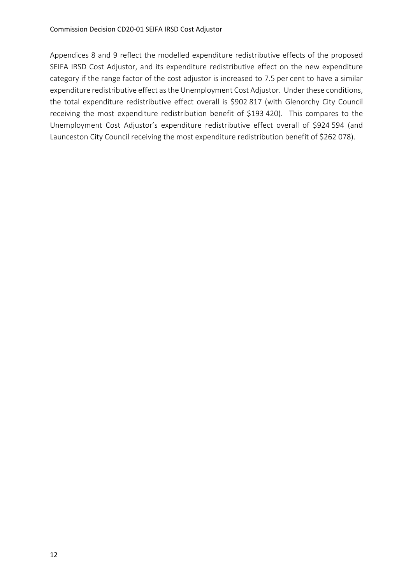Appendices 8 and 9 reflect the modelled expenditure redistributive effects of the proposed SEIFA IRSD Cost Adjustor, and its expenditure redistributive effect on the new expenditure category if the range factor of the cost adjustor is increased to 7.5 per cent to have a similar expenditure redistributive effect as the Unemployment Cost Adjustor. Under these conditions, the total expenditure redistributive effect overall is \$902 817 (with Glenorchy City Council receiving the most expenditure redistribution benefit of \$193 420). This compares to the Unemployment Cost Adjustor's expenditure redistributive effect overall of \$924 594 (and Launceston City Council receiving the most expenditure redistribution benefit of \$262 078).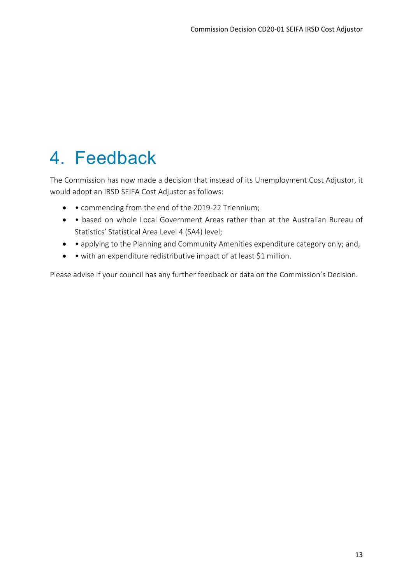### 4. Feedback

The Commission has now made a decision that instead of its Unemployment Cost Adjustor, it would adopt an IRSD SEIFA Cost Adjustor as follows:

- • commencing from the end of the 2019-22 Triennium;
- based on whole Local Government Areas rather than at the Australian Bureau of Statistics' Statistical Area Level 4 (SA4) level;
- applying to the Planning and Community Amenities expenditure category only; and,
- • with an expenditure redistributive impact of at least \$1 million.

Please advise if your council has any further feedback or data on the Commission's Decision.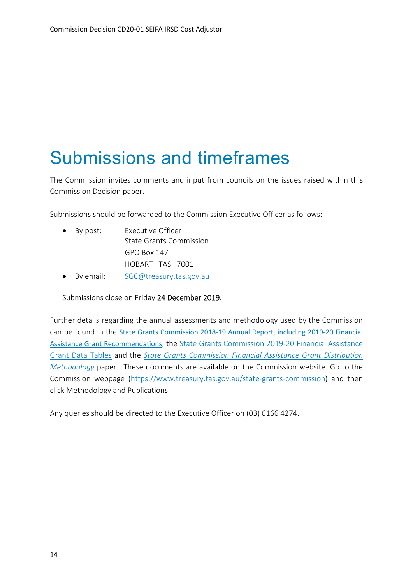### Submissions and timeframes

The Commission invites comments and input from councils on the issues raised within this Commission Decision paper.

Submissions should be forwarded to the Commission Executive Officer as follows:

| $\bullet$ By post: | Executive Officer       |
|--------------------|-------------------------|
|                    | State Grants Commission |
|                    | $GPO$ Box 147           |
|                    | HOBART TAS 7001         |

• By email: SGC@treasury.tas.gov.au

Submissions close on Friday 24 December 2019.

Further details regarding the annual assessments and methodology used by the Commission can be found in the State Grants Commission 2018‐19 Annual Report, including 2019‐20 Financial Assistance Grant Recommendations, the State Grants Commission 2019‐20 Financial Assistance Grant Data Tables and the *State Grants Commission Financial Assistance Grant Distribution Methodology* paper. These documents are available on the Commission website. Go to the Commission webpage (https://www.treasury.tas.gov.au/state‐grants‐commission) and then click Methodology and Publications.

Any queries should be directed to the Executive Officer on (03) 6166 4274.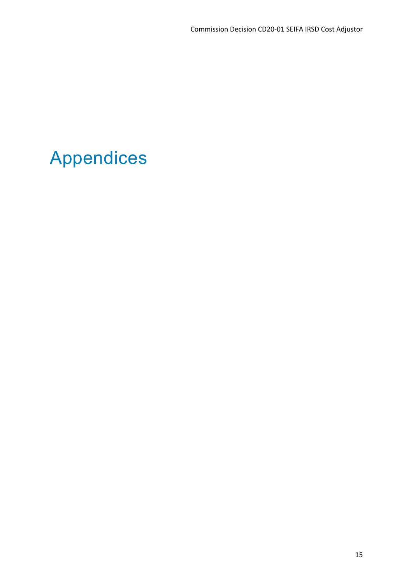## Appendices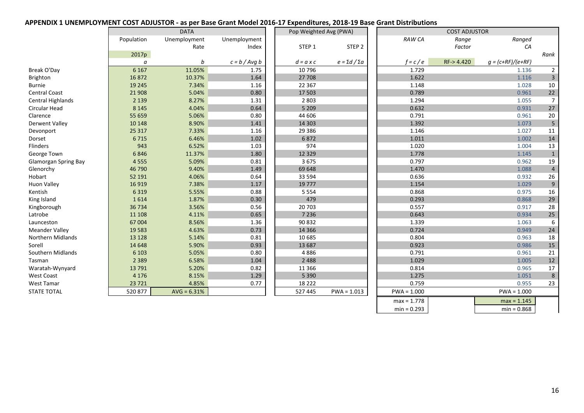#### **APPENDIX 1 UNEMPLOYMENT COST ADJUSTOR ‐ as per Base Grant Model 2016‐17 Expenditures, 2018‐19 Base Grant Distributions**

|                             |            | <b>DATA</b>   |                 | Pop Weighted Avg (PWA) |                           |               | <b>COST ADJUSTOR</b> |                     |                 |
|-----------------------------|------------|---------------|-----------------|------------------------|---------------------------|---------------|----------------------|---------------------|-----------------|
|                             | Population | Unemployment  | Unemployment    |                        |                           | <b>RAW CA</b> | Range                | Ranged              |                 |
|                             |            | Rate          | Index           | STEP 1                 | STEP <sub>2</sub>         |               | Factor               | CA                  |                 |
|                             | 2017p      |               |                 |                        |                           |               |                      |                     | Rank            |
|                             | a          | b             | $c = b / Avg b$ | $d = a \times c$       | $e = \Sigma d / \Sigma a$ | $f = c / e$   | RF->4.420            | $g = (c+RF)/(e+RF)$ |                 |
| Break O'Day                 | 6 1 6 7    | 11.05%        | 1.75            | 10796                  |                           | 1.729         |                      | 1.136               | $\overline{2}$  |
| Brighton                    | 16872      | 10.37%        | 1.64            | 27 708                 |                           | 1.622         |                      | 1.116               | $\overline{3}$  |
| <b>Burnie</b>               | 19 2 45    | 7.34%         | $1.16\,$        | 22 3 67                |                           | 1.148         |                      | 1.028               | $10\,$          |
| <b>Central Coast</b>        | 21 908     | 5.04%         | 0.80            | 17 503                 |                           | 0.789         |                      | 0.961               | $22\,$          |
| Central Highlands           | 2 1 3 9    | 8.27%         | 1.31            | 2 8 0 3                |                           | 1.294         |                      | 1.055               | $\overline{7}$  |
| Circular Head               | 8 1 4 5    | 4.04%         | 0.64            | 5 2 0 9                |                           | 0.632         |                      | 0.931               | 27              |
| Clarence                    | 55 659     | 5.06%         | 0.80            | 44 606                 |                           | 0.791         |                      | 0.961               | $20\,$          |
| <b>Derwent Valley</b>       | 10 148     | 8.90%         | 1.41            | 14 3 03                |                           | 1.392         |                      | 1.073               | $5\overline{)}$ |
| Devonport                   | 25 3 17    | 7.33%         | 1.16            | 29 3 86                |                           | 1.146         |                      | 1.027               | 11              |
| Dorset                      | 6715       | 6.46%         | 1.02            | 6872                   |                           | 1.011         |                      | 1.002               | 14              |
| Flinders                    | 943        | 6.52%         | 1.03            | 974                    |                           | 1.020         |                      | 1.004               | 13              |
| George Town                 | 6846       | 11.37%        | 1.80            | 12 3 29                |                           | 1.778         |                      | 1.145               | 1               |
| <b>Glamorgan Spring Bay</b> | 4555       | 5.09%         | 0.81            | 3675                   |                           | 0.797         |                      | 0.962               | 19              |
| Glenorchy                   | 46 790     | 9.40%         | 1.49            | 69 648                 |                           | 1.470         |                      | 1.088               | $\overline{4}$  |
| Hobart                      | 52 191     | 4.06%         | 0.64            | 33 5 94                |                           | 0.636         |                      | 0.932               | 26              |
| Huon Valley                 | 16 9 19    | 7.38%         | 1.17            | 19777                  |                           | 1.154         |                      | 1.029               | 9               |
| Kentish                     | 6 3 1 9    | 5.55%         | 0.88            | 5 5 5 4                |                           | 0.868         |                      | 0.975               | 16              |
| King Island                 | 1614       | 1.87%         | 0.30            | 479                    |                           | 0.293         |                      | 0.868               | $29\,$          |
| Kingborough                 | 36 734     | 3.56%         | 0.56            | 20 703                 |                           | 0.557         |                      | 0.917               | 28              |
| Latrobe                     | 11 108     | 4.11%         | 0.65            | 7 2 3 6                |                           | 0.643         |                      | 0.934               | 25              |
| Launceston                  | 67 004     | 8.56%         | 1.36            | 90 832                 |                           | 1.339         |                      | 1.063               | 6               |
| <b>Meander Valley</b>       | 19 5 83    | 4.63%         | 0.73            | 14 3 66                |                           | 0.724         |                      | 0.949               | 24              |
| Northern Midlands           | 13 1 28    | 5.14%         | 0.81            | 10 685                 |                           | 0.804         |                      | 0.963               | 18              |
| Sorell                      | 14 6 48    | 5.90%         | 0.93            | 13 687                 |                           | 0.923         |                      | 0.986               | 15              |
| Southern Midlands           | 6 1 0 3    | 5.05%         | 0.80            | 4886                   |                           | 0.791         |                      | 0.961               | 21              |
| Tasman                      | 2 3 8 9    | 6.58%         | 1.04            | 2 4 8 8                |                           | 1.029         |                      | 1.005               | $12\,$          |
| Waratah-Wynyard             | 13 7 91    | 5.20%         | 0.82            | 11 3 6 6               |                           | 0.814         |                      | 0.965               | 17              |
| <b>West Coast</b>           | 4 1 7 6    | 8.15%         | 1.29            | 5 3 9 0                |                           | 1.275         |                      | 1.051               | 8               |
| West Tamar                  | 23 7 21    | 4.85%         | 0.77            | 18 222                 |                           | 0.759         |                      | 0.955               | 23              |
| <b>STATE TOTAL</b>          | 520 877    | $AVG = 6.31%$ |                 | 527 445                | $PWA = 1.013$             | $PWA = 1.000$ |                      | $PWA = 1.000$       |                 |
|                             |            |               |                 |                        |                           | $max = 1.778$ |                      | $max = 1.145$       |                 |
|                             |            |               |                 |                        |                           | $min = 0.293$ |                      | $min = 0.868$       |                 |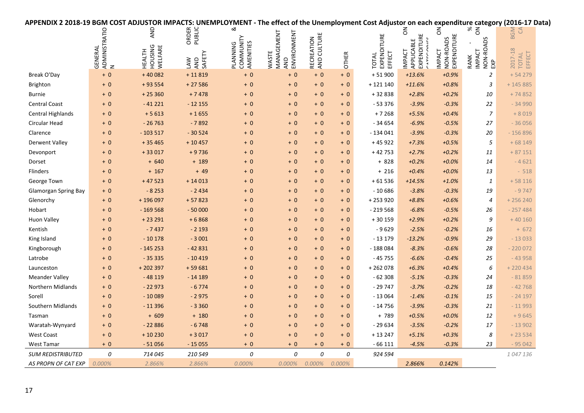| APPENDIX 2 2018-19 BGM COST ADJUSTOR IMPACTS: UNEMPLOYMENT - The effect of the Unemployment Cost Adjustor on each expenditure category (2016-17 Data) |                    |                                            |                             |                                    |                                                  |                           |              |                                       |                                    |                                    |                                           |                            |  |
|-------------------------------------------------------------------------------------------------------------------------------------------------------|--------------------|--------------------------------------------|-----------------------------|------------------------------------|--------------------------------------------------|---------------------------|--------------|---------------------------------------|------------------------------------|------------------------------------|-------------------------------------------|----------------------------|--|
|                                                                                                                                                       | ADMINISTRATIO<br>N | AND                                        | ORDER<br>PUBLIC             | ઌ                                  |                                                  |                           |              |                                       | る                                  | る                                  | $\%$<br>$\overline{5}$                    | BGM<br>$\mathcal{L}$       |  |
|                                                                                                                                                       | <b>GENERAL</b>     | <b>HOUSING</b><br>WELFARE<br><b>HEALTH</b> | SAFETY<br>AND<br><b>NYT</b> | COMMUNITY<br>AMENITIES<br>PLANNING | ENVIRONMENT<br>MANAGEMENT<br>WASTE<br><b>AND</b> | RECREATION<br>AND CULTURE | <b>OTHER</b> | EXPENDITURE<br>EFFECT<br><b>TOTAL</b> | EXPENDITUR<br>APPLICABLE<br>IMPACT | NON-ROADS<br>EXPENDITURE<br>IMPACT | NON-ROADS<br>EXP<br><b>IMPACT</b><br>RANK | 2017-18<br>TOTAL<br>EFFECT |  |
| Break O'Day                                                                                                                                           | $+0$               | $+40082$                                   | $+11819$                    | $+0$                               | $+0$                                             | $+0$                      | $+0$         | $+51900$                              | $+13.6%$                           | $+0.9%$                            | $\overline{2}$                            | $+54279$                   |  |
| Brighton                                                                                                                                              | $+0$               | $+93554$                                   | $+27586$                    | $+0$                               | $+0$                                             | $+0$                      | $+0$         | $+121140$                             | $+11.6%$                           | $+0.8%$                            | 3                                         | $+ 145885$                 |  |
| <b>Burnie</b>                                                                                                                                         | $+0$               | $+25360$                                   | $+7478$                     | $+0$                               | $+0$                                             | $+0$                      | $+0$         | +32838                                | $+2.8%$                            | $+0.2%$                            | 10                                        | $+74852$                   |  |
| <b>Central Coast</b>                                                                                                                                  | $+0$               | $-41221$                                   | $-12155$                    | $+0$                               | $+0$                                             | $+0$                      | $+0$         | $-53376$                              | $-3.9%$                            | $-0.3%$                            | 22                                        | $-34990$                   |  |
| <b>Central Highlands</b>                                                                                                                              | $+0$               | $+5613$                                    | $+1655$                     | $+0$                               | $+0$                                             | $+0$                      | $+0$         | $+7268$                               | $+5.5%$                            | $+0.4%$                            | $\boldsymbol{7}$                          | $+8019$                    |  |
| Circular Head                                                                                                                                         | $+ 0$              | $-26763$                                   | $-7892$                     | $+0$                               | $+0$                                             | $+0$                      | $+0$         | $-34654$                              | $-6.9%$                            | $-0.5%$                            | 27                                        | $-36056$                   |  |
| Clarence                                                                                                                                              | $+0$               | $-103517$                                  | $-30524$                    | $+0$                               | $+0$                                             | $+0$                      | $+0$         | $-134041$                             | $-3.9%$                            | $-0.3%$                            | 20                                        | $-156896$                  |  |
| <b>Derwent Valley</b>                                                                                                                                 | $+0$               | $+35465$                                   | $+10457$                    | $+ 0$                              | $+0$                                             | $+0$                      | $+0$         | $+45922$                              | $+7.3%$                            | $+0.5%$                            | 5                                         | $+68149$                   |  |
| Devonport                                                                                                                                             | $+0$               | $+33017$                                   | $+9736$                     | $+0$                               | $+0$                                             | $+0$                      | $+0$         | + 42 753                              | $+2.7%$                            | $+0.2%$                            | 11                                        | $+87151$                   |  |
| Dorset                                                                                                                                                | $+0$               | $+ 640$                                    | $+ 189$                     | $+0$                               | $+0$                                             | $+0$                      | $+ 0$        | $+828$                                | $+0.2%$                            | $+0.0%$                            | 14                                        | $-4621$                    |  |
| Flinders                                                                                                                                              | $+0$               | $+ 167$                                    | $+49$                       | $+0$                               | $+0$                                             | $+0$                      | $+0$         | $+216$                                | $+0.4%$                            | $+0.0%$                            | 13                                        | $-518$                     |  |
| George Town                                                                                                                                           | $+0$               | $+47523$                                   | $+14013$                    | $+0$                               | $+0$                                             | $+0$                      | $+0$         | $+61536$                              | $+14.5%$                           | $+1.0%$                            | 1                                         | $+58116$                   |  |
| <b>Glamorgan Spring Bay</b>                                                                                                                           | $+0$               | $-8253$                                    | $-2434$                     | $+0$                               | $+0$                                             | $+0$                      | $+0$         | $-10686$                              | $-3.8%$                            | $-0.3%$                            | 19                                        | $-9747$                    |  |
| Glenorchy                                                                                                                                             | $+0$               | +196097                                    | $+57823$                    | $+0$                               | $+0$                                             | $+0$                      | $+0$         | $+253920$                             | $+8.8%$                            | $+0.6%$                            | $\overline{4}$                            | $+256240$                  |  |
| Hobart                                                                                                                                                | $+0$               | $-169568$                                  | $-50000$                    | $+0$                               | $+0$                                             | $+0$                      | $+0$         | $-219568$                             | $-6.8%$                            | $-0.5%$                            | 26                                        | $-257484$                  |  |
| Huon Valley                                                                                                                                           | $+ 0$              | $+23291$                                   | $+6868$                     | $+0$                               | $+0$                                             | $+0$                      | $+0$         | + 30 159                              | $+2.9%$                            | $+0.2%$                            | 9                                         | $+40160$                   |  |
| Kentish                                                                                                                                               | $+0$               | $-7437$                                    | $-2193$                     | $+0$                               | $+0$                                             | $+0$                      | $+ 0$        | $-9629$                               | $-2.5%$                            | $-0.2%$                            | 16                                        | $+ 672$                    |  |
| King Island                                                                                                                                           | $+0$               | $-10178$                                   | $-3001$                     | $+0$                               | $+0$                                             | $+0$                      | $+ 0$        | $-13179$                              | $-13.2%$                           | $-0.9%$                            | 29                                        | $-13033$                   |  |
| Kingborough                                                                                                                                           | $+0$               | $-145253$                                  | $-42831$                    | $+0$                               | $+0$                                             | $+0$                      | $+0$         | $-188084$                             | $-8.3%$                            | $-0.6%$                            | 28                                        | $-220072$                  |  |
| Latrobe                                                                                                                                               | $+0$               | $-35335$                                   | $-10419$                    | $+0$                               | $+0$                                             | $+0$                      | $+0$         | $-45755$                              | $-6.6%$                            | $-0.4%$                            | 25                                        | $-43958$                   |  |
| Launceston                                                                                                                                            | $+0$               | $+202397$                                  | $+59681$                    | $+0$                               | $+0$                                             | $+0$                      | $+0$         | $+262078$                             | $+6.3%$                            | $+0.4%$                            | 6                                         | $+220434$                  |  |
| <b>Meander Valley</b>                                                                                                                                 | $+0$               | $-48119$                                   | $-14189$                    | $+0$                               | $+0$                                             | $+0$                      | $+0$         | $-62308$                              | $-5.1%$                            | $-0.3%$                            | 24                                        | $-81859$                   |  |
| <b>Northern Midlands</b>                                                                                                                              | $+0$               | $-22973$                                   | $-6774$                     | $+0$                               | $+0$                                             | $+0$                      | $+0$         | $-29747$                              | $-3.7%$                            | $-0.2%$                            | 18                                        | $-42768$                   |  |
| Sorell                                                                                                                                                | $+0$               | $-10089$                                   | $-2975$                     | $+0$                               | $+0$                                             | $+0$                      | $+0$         | $-13064$                              | $-1.4%$                            | $-0.1%$                            | 15                                        | $-24197$                   |  |
| Southern Midlands                                                                                                                                     | $+0$               | $-11396$                                   | $-3360$                     | $+0$                               | $+0$                                             | $+0$                      | $+0$         | $-14756$                              | $-3.9%$                            | $-0.3%$                            | 21                                        | $-11993$                   |  |
| Tasman                                                                                                                                                | $+0$               | $+ 609$                                    | $+ 180$                     | $+0$                               | $+0$                                             | $+0$                      | $+0$         | + 789                                 | $+0.5%$                            | $+0.0%$                            | 12                                        | $+9645$                    |  |
| Waratah-Wynyard                                                                                                                                       | $+0$               | $-22886$                                   | $-6748$                     | $+0$                               | $+0$                                             | $+0$                      | $+0$         | $-29634$                              | $-3.5%$                            | $-0.2%$                            | 17                                        | $-13902$                   |  |
| <b>West Coast</b>                                                                                                                                     | $+0$               | $+10230$                                   | $+3017$                     | $+0$                               | $+0$                                             | $+0$                      | $+0$         | $+13247$                              | $+5.1%$                            | $+0.3%$                            | 8                                         | $+23534$                   |  |
| <b>West Tamar</b>                                                                                                                                     | $+ 0$              | $-51056$                                   | $-15055$                    | $+ 0$                              | $+0$                                             | $+0$                      | $+0$         | $-66111$                              | $-4.5%$                            | $-0.3%$                            | 23                                        | $-95042$                   |  |
| <b>SUM REDISTRIBUTED</b>                                                                                                                              | 0                  | 714 045                                    | 210 549                     | 0                                  | 0                                                | 0                         | 0            | 924 594                               |                                    |                                    |                                           | 1047136                    |  |
| AS PROPN OF CAT EXP                                                                                                                                   | 0.000%             | 2.866%                                     | 2.866%                      | 0.000%                             | 0.000%                                           | 0.000%                    | 0.000%       |                                       | 2.866%                             | 0.142%                             |                                           |                            |  |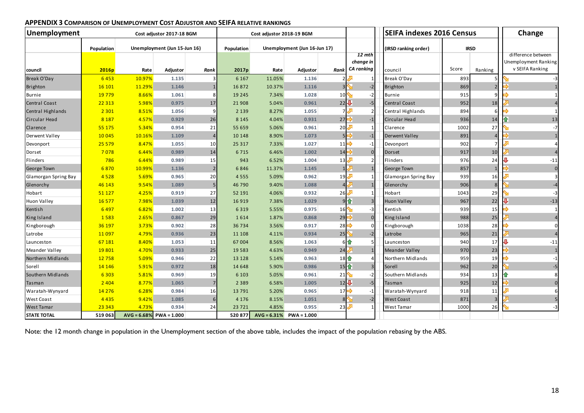| Unemployment<br>Cost adjustor 2017-18 BGM |            |               |                              |                |                   | Cost adjustor 2018-19 BGM |                              |                                       |                   | <b>SEIFA indexes 2016 Census</b> | Change                                     |                |                 |
|-------------------------------------------|------------|---------------|------------------------------|----------------|-------------------|---------------------------|------------------------------|---------------------------------------|-------------------|----------------------------------|--------------------------------------------|----------------|-----------------|
|                                           | Population |               | Unemployment (Jun 15-Jun 16) |                | Population        |                           | Unemployment (Jun 16-Jun 17) |                                       |                   | (IRSD ranking order)             | <b>IRSD</b>                                |                |                 |
|                                           |            |               |                              |                |                   |                           | 12 mth<br>change in          |                                       |                   |                                  | difference between<br>Unemployment Ranking |                |                 |
| council                                   | 2016p      | Rate          | Adjustor                     | Rank           | 2017 <sub>p</sub> | Rate                      | <b>Adjustor</b>              | Rank                                  | <b>CA</b> ranking | council                          | Score                                      | Ranking        | v SEIFA Ranking |
| Break O'Day                               | 6453       | 10.97%        | 1.135                        |                | 6 1 6 7           | 11.05%                    | 1.136                        |                                       |                   | Break O'Day                      | 893                                        |                | $-3$            |
| Brighton                                  | 16 10 1    | 11.29%        | 1.146                        |                | 16872             | 10.37%                    | 1.116                        |                                       | $-2$              | <b>Brighton</b>                  | 869                                        |                | $\mathbf{1}$    |
| <b>Burnie</b>                             | 19 7 79    | 8.66%         | 1.061                        | 8              | 19 2 45           | 7.34%                     | 1.028                        | 10                                    | $-2$              | <b>Burnie</b>                    | 915                                        |                | $\mathbf{1}$    |
| Central Coast                             | 22 3 13    | 5.98%         | 0.975                        | 17             | 21908             | 5.04%                     | 0.961                        | 22                                    | $-5$              | <b>Central Coast</b>             | 952                                        | 18             | $\overline{4}$  |
| Central Highlands                         | 2 3 0 1    | 8.51%         | 1.056                        | q              | 2 1 3 9           | 8.27%                     | 1.055                        |                                       |                   | Central Highlands                | 894                                        |                | 1               |
| Circular Head                             | 8 1 8 7    | 4.57%         | 0.929                        | 26             | 8 1 4 5           | 4.04%                     | 0.931                        | $27 \Box$                             | $-1$              | Circular Head                    | 936                                        | 14             | 13              |
| Clarence                                  | 55 175     | 5.34%         | 0.954                        | 21             | 55 659            | 5.06%                     | 0.961                        | 20                                    |                   | Clarence                         | 1002                                       | 27             | $-7$            |
| Derwent Valley                            | 10 0 45    | 10.16%        | 1.109                        | $\overline{4}$ | 10 148            | 8.90%                     | 1.073                        | 5F                                    | $-1$              | <b>Derwent Valley</b>            | 891                                        | $\overline{4}$ | $\mathbf{1}$    |
| Devonport                                 | 25 5 79    | 8.47%         | 1.055                        | 10             | 25 3 17           | 7.33%                     | 1.027                        | 11 $\Rightarrow$                      | $-1$              | Devonport                        | 902                                        |                |                 |
| Dorset                                    | 7078       | 6.44%         | 0.989                        | 14             | 6715              | 6.46%                     | 1.002                        | $14 \Box$                             |                   | <b>Dorset</b>                    | 917                                        | 10             |                 |
| Flinders                                  | 786        | 6.44%         | 0.989                        | 15             | 943               | 6.52%                     | 1.004                        | 13                                    |                   | Flinders                         | 976                                        | 24             | $-11$           |
| George Town                               | 6870       | 10.99%        | 1.136                        | $\overline{2}$ | 6846              | 11.37%                    | 1.145                        |                                       |                   | George Town                      | 857                                        |                | $\mathbf 0$     |
| Glamorgan Spring Bay                      | 4 5 2 8    | 5.69%         | 0.965                        | 20             | 4555              | 5.09%                     | 0.962                        | 19                                    |                   | Glamorgan Spring Bay             | 939                                        | 16             | $\overline{3}$  |
| Glenorchy                                 | 46 143     | 9.54%         | 1.089                        | 5              | 46 790            | 9.40%                     | 1.088                        | 4                                     |                   | Glenorchy                        | 906                                        | 8              | $-4$            |
| Hobart                                    | 51 1 27    | 4.25%         | 0.919                        | 27             | 52 191            | 4.06%                     | 0.932                        | $26\sqrt[3]{ }$                       |                   | Hobart                           | 1043                                       | 29             | -3              |
| Huon Valley                               | 16 577     | 7.98%         | 1.039                        | 12             | 16 9 19           | 7.38%                     | 1.029                        |                                       | 9 企               | <b>Huon Valley</b>               | 967                                        | 22             | $-13$           |
| Kentish                                   | 6497       | 6.82%         | 1.002                        | 13             | 6 3 1 9           | 5.55%                     | 0.975                        | 16                                    | $-3$              | Kentish                          | 939                                        | 15             | 1               |
| King Island                               | 1583       | 2.65%         | 0.867                        | 29             | 1614              | 1.87%                     | 0.868                        | 29                                    | $\Omega$          | King Island                      | 988                                        | 25             | $\overline{4}$  |
| Kingborough                               | 36 197     | 3.73%         | 0.902                        | 28             | 36 734            | 3.56%                     | 0.917                        | $28 \Rightarrow$                      | n                 | Kingborough                      | 1038                                       | 28             | $\Omega$        |
| Latrobe                                   | 11 0 97    | 4.79%         | 0.936                        | 23             | 11 108            | 4.11%                     | 0.934                        | 25                                    | $-2$              | Latrobe                          | 965                                        | 21             | $\overline{4}$  |
| Launceston                                | 67 181     | 8.40%         | 1.053                        | 11             | 67004             | 8.56%                     | 1.063                        |                                       | 6 个               | Launceston                       | 940                                        | 17             | $-11$           |
| <b>Meander Valley</b>                     | 19801      | 4.70%         | 0.933                        | 25             | 19583             | 4.63%                     | 0.949                        | 24                                    |                   | <b>Meander Valley</b>            | 970                                        | 23             | $\mathbf{1}$    |
| Northern Midlands                         | 12758      | 5.09%         | 0.946                        | 22             | 13 1 28           | 5.14%                     | 0.963                        | $18$ <sup>1</sup>                     |                   | Northern Midlands                | 959                                        | 19             | $-1$            |
| Sorell                                    | 14 14 6    | 5.91%         | 0.972                        | 18             | 14 6 48           | 5.90%                     | 0.986                        | $15$ <sup><math>\uparrow</math></sup> |                   | Sorell                           | 962                                        | 20             | $-5$            |
| Southern Midlands                         | 6 3 0 3    | 5.81%         | 0.969                        | 19             | 6 1 0 3           | 5.05%                     | 0.961                        | 21                                    | $-2$              | Southern Midlands                | 934                                        | 13             | 8               |
| Tasman                                    | 2 4 0 4    | 8.77%         | 1.065                        | 7              | 2 3 8 9           | 6.58%                     | 1.005                        | $12\sqrt{2}$                          | $-5$              | Tasman                           | 925                                        | 12             | $\mathbf 0$     |
| Waratah-Wynyard                           | 14 2 7 6   | 6.28%         | 0.984                        | <b>16</b>      | 13791             | 5.20%                     | 0.965                        | 17                                    | $-1$              | Waratah-Wynyard                  | 918                                        | 11             |                 |
| West Coast                                | 4 4 3 5    | 9.42%         | 1.085                        | 6              | 4 1 7 6           | 8.15%                     | 1.051                        | 8 <sup>°</sup>                        | $-2$              | <b>West Coast</b>                | 871                                        | $\overline{3}$ |                 |
| <b>West Tamar</b>                         | 23 343     | 4.73%         | 0.934                        | 24             | 23 7 21           | 4.85%                     | 0.955                        | 23                                    |                   | West Tamar                       | 1000                                       | 26             | $-3$            |
| <b>STATE TOTAL</b>                        | 519 063    | $AVG = 6.68%$ | $PWA = 1.000$                |                | 520 877           |                           | $AVG = 6.31\%$ PWA = 1.000   |                                       |                   |                                  |                                            |                |                 |

#### **APPENDIX 3 COMPARISON OF UNEMPLOYMENT COST ADJUSTOR AND SEIFA RELATIVE RANKINGS**

Note: the 12 month change in population in the Unemployment section of the above table, includes the impact of the population rebasing by the ABS.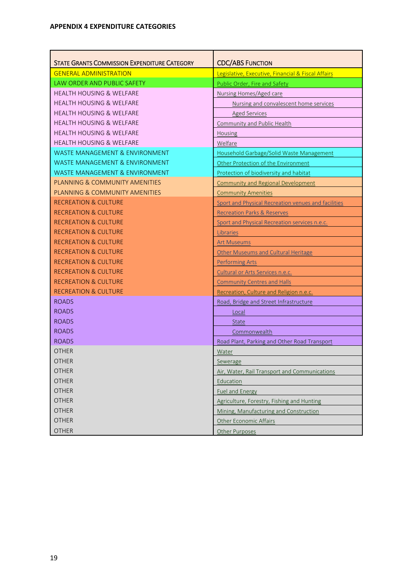| <b>STATE GRANTS COMMISSION EXPENDITURE CATEGORY</b> |                                                     |
|-----------------------------------------------------|-----------------------------------------------------|
|                                                     | <b>CDC/ABS FUNCTION</b>                             |
| <b>GENERAL ADMINISTRATION</b>                       | Legislative, Executive, Financial & Fiscal Affairs  |
| <b>LAW ORDER AND PUBLIC SAFETY</b>                  | Public Order, Fire and Safety                       |
| <b>HEALTH HOUSING &amp; WELFARE</b>                 | Nursing Homes/Aged care                             |
| <b>HEALTH HOUSING &amp; WELFARE</b>                 | Nursing and convalescent home services              |
| <b>HEALTH HOUSING &amp; WELFARE</b>                 | <b>Aged Services</b>                                |
| <b>HEALTH HOUSING &amp; WELFARE</b>                 | <b>Community and Public Health</b>                  |
| <b>HEALTH HOUSING &amp; WELFARE</b>                 | Housing                                             |
| <b>HEALTH HOUSING &amp; WELFARE</b>                 | Welfare                                             |
| WASTE MANAGEMENT & ENVIRONMENT                      | Household Garbage/Solid Waste Management            |
| <b>WASTE MANAGEMENT &amp; ENVIRONMENT</b>           | Other Protection of the Environment                 |
| <b>WASTE MANAGEMENT &amp; ENVIRONMENT</b>           | Protection of biodiversity and habitat              |
| PLANNING & COMMUNITY AMENITIES                      | <b>Community and Regional Development</b>           |
| PLANNING & COMMUNITY AMENITIES                      | <b>Community Amenities</b>                          |
| <b>RECREATION &amp; CULTURE</b>                     | Sport and Physical Recreation venues and facilities |
| <b>RECREATION &amp; CULTURE</b>                     | <b>Recreation Parks &amp; Reserves</b>              |
| <b>RECREATION &amp; CULTURE</b>                     | Sport and Physical Recreation services n.e.c.       |
| <b>RECREATION &amp; CULTURE</b>                     | Libraries                                           |
| <b>RECREATION &amp; CULTURE</b>                     | <b>Art Museums</b>                                  |
| <b>RECREATION &amp; CULTURE</b>                     | <b>Other Museums and Cultural Heritage</b>          |
| <b>RECREATION &amp; CULTURE</b>                     | <b>Performing Arts</b>                              |
| <b>RECREATION &amp; CULTURE</b>                     | Cultural or Arts Services n.e.c.                    |
| <b>RECREATION &amp; CULTURE</b>                     | <b>Community Centres and Halls</b>                  |
| <b>RECREATION &amp; CULTURE</b>                     | Recreation, Culture and Religion n.e.c.             |
| <b>ROADS</b>                                        | Road, Bridge and Street Infrastructure              |
| <b>ROADS</b>                                        | Local                                               |
| <b>ROADS</b>                                        | <b>State</b>                                        |
| <b>ROADS</b>                                        | Commonwealth                                        |
| <b>ROADS</b>                                        | Road Plant, Parking and Other Road Transport        |
| <b>OTHER</b>                                        | Water                                               |
| <b>OTHER</b>                                        | Sewerage                                            |
| <b>OTHER</b>                                        | Air, Water, Rail Transport and Communications       |
| <b>OTHER</b>                                        | Education                                           |
| <b>OTHER</b>                                        | <b>Fuel and Energy</b>                              |
| <b>OTHER</b>                                        | Agriculture, Forestry, Fishing and Hunting          |
| <b>OTHER</b>                                        | Mining, Manufacturing and Construction              |
| <b>OTHER</b>                                        | Other Economic Affairs                              |
| <b>OTHER</b>                                        | Other Purposes                                      |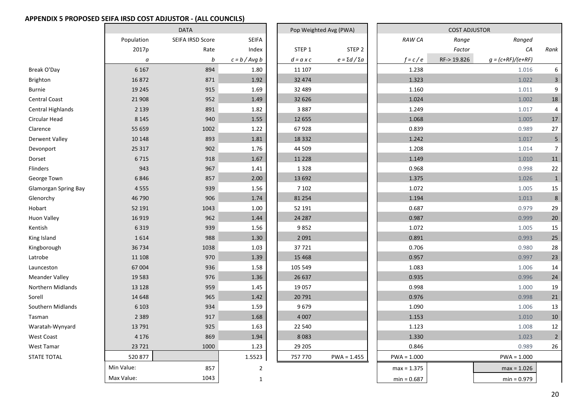#### **APPENDIX 5 PROPOSED SEIFA IRSD COST ADJUSTOR ‐ (ALL COUNCILS)**

|                             |            |              | Pop Weighted Avg (PWA) |                  | <b>COST ADJUSTOR</b>      |               |               |            |                     |                           |
|-----------------------------|------------|--------------|------------------------|------------------|---------------------------|---------------|---------------|------------|---------------------|---------------------------|
|                             | Population | <b>SEIFA</b> |                        |                  |                           | <b>RAW CA</b> | Range         | Ranged     |                     |                           |
|                             | 2017p      | Rate         | Index                  | STEP 1           | STEP <sub>2</sub>         |               |               | Factor     | CA                  | Rank                      |
|                             | а          | b            | $c = b / Avg b$        | $d = a \times c$ | $e = \Sigma d / \Sigma a$ |               | $f = c / e$   | RF->19.826 | $g = (c+RF)/(e+RF)$ |                           |
| Break O'Day                 | 6 1 6 7    | 894          | 1.80                   | 11 107           |                           |               | 1.238         |            | 1.016               | 6                         |
| Brighton                    | 16872      | 871          | 1.92                   | 32 474           |                           |               | 1.323         |            | 1.022               | $\ensuremath{\mathsf{3}}$ |
| Burnie                      | 19 2 45    | 915          | 1.69                   | 32 489           |                           |               | 1.160         |            | 1.011               | 9                         |
| <b>Central Coast</b>        | 21 908     | 952          | 1.49                   | 32 626           |                           |               | 1.024         |            | 1.002               | 18                        |
| <b>Central Highlands</b>    | 2 1 3 9    | 891          | 1.82                   | 3887             |                           |               | 1.249         |            | 1.017               | 4                         |
| Circular Head               | 8 1 4 5    | 940          | 1.55                   | 12 6 5 5         |                           |               | 1.068         |            | 1.005               | 17                        |
| Clarence                    | 55 659     | 1002         | 1.22                   | 67928            |                           |               | 0.839         |            | 0.989               | 27                        |
| <b>Derwent Valley</b>       | 10 148     | 893          | 1.81                   | 18 3 32          |                           |               | 1.242         |            | 1.017               | $\overline{5}$            |
| Devonport                   | 25 3 17    | 902          | 1.76                   | 44 509           |                           |               | 1.208         |            | 1.014               | $\overline{7}$            |
| Dorset                      | 6715       | 918          | 1.67                   | 11 2 28          |                           |               | 1.149         |            | 1.010               | 11                        |
| Flinders                    | 943        | 967          | 1.41                   | 1 3 2 8          |                           |               | 0.968         |            | 0.998               | 22                        |
| George Town                 | 6846       | 857          | 2.00                   | 13 692           |                           |               | 1.375         |            | 1.026               | $\mathbf{1}$              |
| <b>Glamorgan Spring Bay</b> | 4555       | 939          | 1.56                   | 7 1 0 2          |                           |               | 1.072         |            | 1.005               | 15                        |
| Glenorchy                   | 46 790     | 906          | 1.74                   | 81 254           |                           |               | 1.194         |            | 1.013               | $\bf 8$                   |
| Hobart                      | 52 191     | 1043         | 1.00                   | 52 191           |                           |               | 0.687         |            | 0.979               | 29                        |
| <b>Huon Valley</b>          | 16919      | 962          | 1.44                   | 24 287           |                           |               | 0.987         |            | 0.999               | 20                        |
| Kentish                     | 6319       | 939          | 1.56                   | 9852             |                           |               | 1.072         |            | 1.005               | 15                        |
| King Island                 | 1614       | 988          | 1.30                   | 2 0 9 1          |                           |               | 0.891         |            | 0.993               | 25                        |
| Kingborough                 | 36 734     | 1038         | 1.03                   | 37721            |                           |               | 0.706         |            | 0.980               | 28                        |
| Latrobe                     | 11 108     | 970          | 1.39                   | 15 4 68          |                           |               | 0.957         |            | 0.997               | 23                        |
| Launceston                  | 67 004     | 936          | 1.58                   | 105 549          |                           |               | 1.083         |            | 1.006               | 14                        |
| <b>Meander Valley</b>       | 19583      | 976          | 1.36                   | 26 637           |                           |               | 0.935         |            | 0.996               | 24                        |
| <b>Northern Midlands</b>    | 13 1 28    | 959          | 1.45                   | 19 057           |                           |               | 0.998         |            | 1.000               | 19                        |
| Sorell                      | 14 6 48    | 965          | 1.42                   | 20 791           |                           |               | 0.976         |            | 0.998               | 21                        |
| Southern Midlands           | 6 1 0 3    | 934          | 1.59                   | 9679             |                           |               | 1.090         |            | 1.006               | 13                        |
| Tasman                      | 2 3 8 9    | 917          | 1.68                   | 4 0 0 7          |                           |               | 1.153         |            | 1.010               | 10                        |
| Waratah-Wynyard             | 13791      | 925          | 1.63                   | 22 540           |                           |               | 1.123         |            | 1.008               | 12                        |
| <b>West Coast</b>           | 4 1 7 6    | 869          | 1.94                   | 8083             |                           |               | 1.330         |            | 1.023               | $\overline{2}$            |
| West Tamar                  | 23 7 21    | 1000         | 1.23                   | 29 20 5          |                           |               | 0.846         |            | 0.989               | 26                        |
| <b>STATE TOTAL</b>          | 520 877    |              | 1.5523                 | 757 770          | $PWA = 1.455$             |               | $PWA = 1.000$ |            | $PWA = 1.000$       |                           |
|                             | Min Value: | 857          | $\mathbf 2$            |                  |                           |               | $max = 1.375$ |            | $max = 1.026$       |                           |
|                             | Max Value: | 1043         | $\mathbf{1}$           |                  |                           |               | $min = 0.687$ |            | $min = 0.979$       |                           |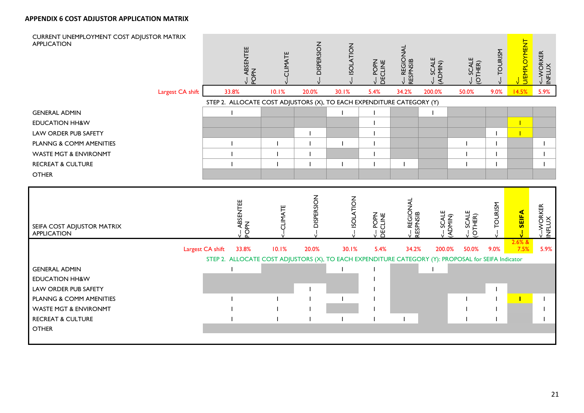#### **APPENDIX 6 COST ADJUSTOR APPLICATION MATRIX**

| CURRENT UNEMPLOYMENT COST ADJUSTOR MATRIX<br><b>APPLICATION</b>  |                  | <-- ABSENTEE<br>POPN                                                                                | CLIMATE   | <b>DISPERSION</b> | <b>ISOLATION</b> | POPN<br>DECLINE     | <-- REGIONAL<br>RESPNSIB | <- SCALE<br>(ADMIN)  | <b>SCALE</b><br>(OTHER) | <b>TOURISM</b> | <b>U/EMPLOYMENT</b> | <--WORKER<br>INFLUX |
|------------------------------------------------------------------|------------------|-----------------------------------------------------------------------------------------------------|-----------|-------------------|------------------|---------------------|--------------------------|----------------------|-------------------------|----------------|---------------------|---------------------|
|                                                                  | Largest CA shift | 33.8%                                                                                               | 10.1%     | 20.0%             | 30.1%            | 5.4%                | 34.2%                    | 200.0%               | 50.0%                   | 9.0%           | 14.5%               | 5.9%                |
|                                                                  |                  | STEP 2. ALLOCATE COST ADJUSTORS (X), TO EACH EXPENDITURE CATEGORY (Y)                               |           |                   |                  |                     |                          |                      |                         |                |                     |                     |
| <b>GENERAL ADMIN</b>                                             |                  |                                                                                                     |           |                   |                  |                     |                          |                      |                         |                |                     |                     |
| <b>EDUCATION HH&amp;W</b>                                        |                  |                                                                                                     |           |                   |                  |                     |                          |                      |                         |                | $\mathbf{I}$        |                     |
| LAW ORDER PUB SAFETY                                             |                  |                                                                                                     |           |                   |                  |                     |                          |                      |                         |                | T                   |                     |
| PLANNG & COMM AMENITIES                                          |                  |                                                                                                     |           |                   |                  |                     |                          |                      |                         |                |                     |                     |
| <b>WASTE MGT &amp; ENVIRONMT</b>                                 |                  |                                                                                                     |           |                   |                  |                     |                          |                      |                         |                |                     |                     |
| <b>RECREAT &amp; CULTURE</b>                                     |                  |                                                                                                     |           |                   |                  |                     |                          |                      |                         |                |                     |                     |
| <b>OTHER</b>                                                     |                  |                                                                                                     |           |                   |                  |                     |                          |                      |                         |                |                     |                     |
|                                                                  |                  |                                                                                                     |           |                   |                  |                     |                          |                      |                         |                |                     |                     |
| SEIFA COST ADJUSTOR MATRIX<br><b>APPLICATION</b>                 |                  |                                                                                                     | --CLIMATE | - DISPERSION      | - ISOLATION      |                     |                          |                      |                         | -TOURISM       |                     |                     |
|                                                                  |                  | <-- ABSENTEE<br>POPN                                                                                |           |                   |                  | <-- POPN<br>DECLINE | <-- REGIONAL<br>RESPNSIB | <-- SCALE<br>(ADMIN) | <-- SCALE<br>(OTHER)    |                | <-- SEIFA<br>2.6% & | <--WORKER<br>INFLUX |
|                                                                  |                  | Largest CA shift<br>33.8%                                                                           | 10.1%     | 20.0%             | 30.1%            | 5.4%                | 34.2%                    | 200.0%               | 50.0%                   | 9.0%           | 7.5%                | 5.9%                |
|                                                                  |                  | STEP 2. ALLOCATE COST ADJUSTORS (X), TO EACH EXPENDITURE CATEGORY (Y): PROPOSAL for SEIFA Indicator |           |                   |                  |                     |                          |                      |                         |                |                     |                     |
| <b>GENERAL ADMIN</b>                                             |                  |                                                                                                     |           |                   |                  |                     |                          |                      |                         |                |                     |                     |
| <b>EDUCATION HH&amp;W</b>                                        |                  |                                                                                                     |           |                   |                  |                     |                          |                      |                         |                |                     |                     |
| LAW ORDER PUB SAFETY                                             |                  |                                                                                                     |           |                   |                  |                     |                          |                      |                         |                |                     |                     |
| PLANNG & COMM AMENITIES                                          |                  |                                                                                                     |           |                   |                  |                     |                          |                      |                         |                |                     |                     |
| <b>WASTE MGT &amp; ENVIRONMT</b><br><b>RECREAT &amp; CULTURE</b> |                  |                                                                                                     |           |                   |                  |                     |                          |                      |                         |                |                     |                     |
| <b>OTHER</b>                                                     |                  |                                                                                                     |           |                   |                  |                     |                          |                      |                         |                |                     |                     |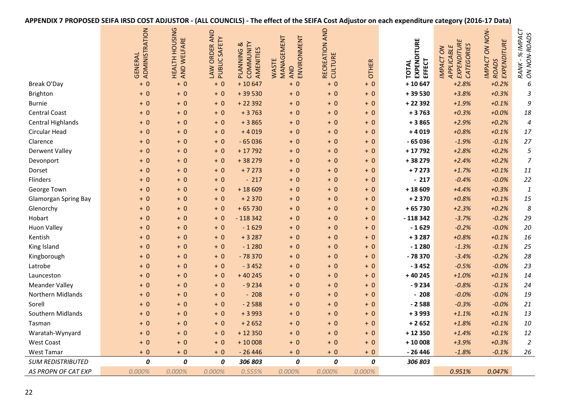| APPENDIX 7 PROPOSED SEIFA IRSD COST ADJUSTOR - (ALL COUNCILS) - The effect of the SEIFA Cost Adjustor on each expenditure category (2016-17 Data) |
|---------------------------------------------------------------------------------------------------------------------------------------------------|
|---------------------------------------------------------------------------------------------------------------------------------------------------|

|                             | ADMINISTRATION<br><b>GENERAL</b> | HEALTH HOUSING<br>AND WELFARE | LAW ORDER AND<br>PUBLIC SAFETY | COMMUNITY<br>PLANNING &<br>AMENITIES | ENVIRONMENT<br>MANAGEMENT<br>WASTE<br>AND | RECREATION AND<br>CULTURE | <b>OTHER</b> | EXPENDITURE<br>EFFECT<br><b>TOTAL</b> | EXPENDITURE<br>CATEGORIES<br>APPLICABLE<br><b>IMPACT ON</b> | <b>IMPACT ON NON-</b><br>EXPENDITURE<br><b>ROADS</b> | <b>INPACT</b><br>RANK - % IMPACT<br>ON NON-ROADS |
|-----------------------------|----------------------------------|-------------------------------|--------------------------------|--------------------------------------|-------------------------------------------|---------------------------|--------------|---------------------------------------|-------------------------------------------------------------|------------------------------------------------------|--------------------------------------------------|
| Break O'Day                 | $+0$                             | $+0$                          | $+0$                           | $+10647$                             | $+0$                                      | $+0$                      | $+0$         | $+10647$                              | $+2.8%$                                                     | $+0.2%$                                              | 6                                                |
| Brighton                    | $+0$                             | $+0$                          | $+0$                           | $+39530$                             | $+0$                                      | $+0$                      | $+ 0$        | +39530                                | $+3.8%$                                                     | $+0.3%$                                              | 3                                                |
| <b>Burnie</b>               | $+0$                             | $+0$                          | $+0$                           | $+22392$                             | $+0$                                      | $+0$                      | $+ 0$        | $+22392$                              | $+1.9%$                                                     | $+0.1%$                                              | 9                                                |
| <b>Central Coast</b>        | $+0$                             | $+0$                          | $+0$                           | $+3763$                              | $+0$                                      | $+0$                      | $+ 0$        | $+3763$                               | $+0.3%$                                                     | $+0.0%$                                              | 18                                               |
| <b>Central Highlands</b>    | $+0$                             | $+0$                          | $+0$                           | $+3865$                              | $+0$                                      | $+0$                      | $+ 0$        | $+3865$                               | $+2.9%$                                                     | $+0.2%$                                              | $\overline{\mathcal{A}}$                         |
| Circular Head               | $+0$                             | $+0$                          | $+ 0$                          | $+4019$                              | $+0$                                      | $+0$                      | $+ 0$        | $+4019$                               | $+0.8%$                                                     | $+0.1%$                                              | 17                                               |
| Clarence                    | $+0$                             | $+0$                          | $+ 0$                          | $-65036$                             | $+0$                                      | $+0$                      | $+ 0$        | $-65036$                              | $-1.9%$                                                     | $-0.1%$                                              | 27                                               |
| <b>Derwent Valley</b>       | $+0$                             | $+0$                          | $+ 0$                          | $+17792$                             | $+0$                                      | $+0$                      | $+ 0$        | $+17792$                              | $+2.8%$                                                     | $+0.2%$                                              | 5                                                |
| Devonport                   | $+0$                             | $+0$                          | $+ 0$                          | $+38279$                             | $+0$                                      | $+0$                      | $+0$         | +38 279                               | $+2.4%$                                                     | $+0.2%$                                              | $\boldsymbol{7}$                                 |
| Dorset                      | $+0$                             | $+ 0$                         | $+ 0$                          | $+7273$                              | $+0$                                      | $+0$                      | $+ 0$        | $+7273$                               | $+1.7%$                                                     | $+0.1%$                                              | 11                                               |
| Flinders                    | $+0$                             | $+0$                          | $+0$                           | $-217$                               | $+0$                                      | $+0$                      | $+0$         | $-217$                                | $-0.4%$                                                     | $-0.0%$                                              | 22                                               |
| George Town                 | $+0$                             | $+0$                          | $+0$                           | $+18609$                             | $+0$                                      | $+0$                      | $+0$         | $+18609$                              | $+4.4%$                                                     | $+0.3%$                                              | $\boldsymbol{1}$                                 |
| <b>Glamorgan Spring Bay</b> | $+0$                             | $+0$                          | $+0$                           | $+2370$                              | $+0$                                      | $+0$                      | $+0$         | $+2370$                               | $+0.8%$                                                     | $+0.1%$                                              | 15                                               |
| Glenorchy                   | $+0$                             | $+0$                          | $+0$                           | $+65730$                             | $+0$                                      | $+0$                      | $+0$         | $+65730$                              | $+2.3%$                                                     | $+0.2%$                                              | 8                                                |
| Hobart                      | $+0$                             | $+0$                          | $+0$                           | $-118342$                            | $+0$                                      | $+0$                      | $+0$         | $-118342$                             | $-3.7%$                                                     | $-0.2%$                                              | 29                                               |
| <b>Huon Valley</b>          | $+0$                             | $+0$                          | $+0$                           | $-1629$                              | $+0$                                      | $+0$                      | $+ 0$        | $-1629$                               | $-0.2%$                                                     | $-0.0%$                                              | 20                                               |
| Kentish                     | $+0$                             | $+0$                          | $+0$                           | $+3287$                              | $+0$                                      | $+0$                      | $+ 0$        | $+3287$                               | $+0.8%$                                                     | $+0.1%$                                              | 16                                               |
| King Island                 | $+0$                             | $+0$                          | $+0$                           | $-1280$                              | $+ 0$                                     | $+0$                      | $+0$         | $-1280$                               | $-1.3%$                                                     | $-0.1%$                                              | 25                                               |
| Kingborough                 | $+0$                             | $+0$                          | $+0$                           | $-78370$                             | $+0$                                      | $+0$                      | $+0$         | $-78370$                              | $-3.4%$                                                     | $-0.2%$                                              | 28                                               |
| Latrobe                     | $+0$                             | $+0$                          | $+0$                           | $-3452$                              | $+ 0$                                     | $+0$                      | $+0$         | $-3452$                               | $-0.5%$                                                     | $-0.0%$                                              | 23                                               |
| Launceston                  | $+0$                             | $+0$                          | $+0$                           | $+40245$                             | $+0$                                      | $+0$                      | $+0$         | $+40245$                              | $+1.0%$                                                     | $+0.1%$                                              | 14                                               |
| <b>Meander Valley</b>       | $+0$                             | $+0$                          | $+0$                           | $-9234$                              | $+0$                                      | $+0$                      | $+0$         | $-9234$                               | $-0.8%$                                                     | $-0.1%$                                              | 24                                               |
| Northern Midlands           | $+0$                             | $+0$                          | $+0$                           | $-208$                               | $+ 0$                                     | $+0$                      | $+0$         | $-208$                                | $-0.0%$                                                     | $-0.0%$                                              | 19                                               |
| Sorell                      | $+0$                             | $+0$                          | $+0$                           | $-2588$                              | $+ 0$                                     | $+0$                      | $+0$         | $-2588$                               | $-0.3%$                                                     | $-0.0%$                                              | 21                                               |
| Southern Midlands           | $+0$                             | $+0$                          | $+0$                           | $+3993$                              | $+ 0$                                     | $+0$                      | $+0$         | $+3993$                               | $+1.1%$                                                     | $+0.1%$                                              | 13                                               |
| Tasman                      | $+0$                             | $+0$                          | $+0$                           | $+2652$                              | $+ 0$                                     | $+0$                      | $+0$         | $+2652$                               | $+1.8%$                                                     | $+0.1%$                                              | 10                                               |
| Waratah-Wynyard             | $+0$                             | $+0$                          | $+0$                           | $+12350$                             | $+ 0$                                     | $+0$                      | $+0$         | $+12350$                              | $+1.4%$                                                     | $+0.1%$                                              | 12                                               |
| <b>West Coast</b>           | $+0$                             | $+0$                          | $+0$                           | $+10008$                             | $+ 0$                                     | $+0$                      | $+0$         | $+10008$                              | $+3.9%$                                                     | $+0.3%$                                              | $\overline{2}$                                   |
| West Tamar                  | $+0$                             | $+0$                          | $+0$                           | $-26446$                             | $+0$                                      | $+0$                      | $+0$         | $-26446$                              | $-1.8%$                                                     | $-0.1%$                                              | 26                                               |
| <b>SUM REDISTRIBUTED</b>    | 0                                | 0                             | 0                              | 306 803                              | 0                                         | 0                         | 0            | 306 803                               |                                                             |                                                      |                                                  |
| AS PROPN OF CAT EXP         | 0.000%                           | 0.000%                        | 0.000%                         | 0.555%                               | 0.000%                                    | 0.000%                    | 0.000%       |                                       | 0.951%                                                      | 0.047%                                               |                                                  |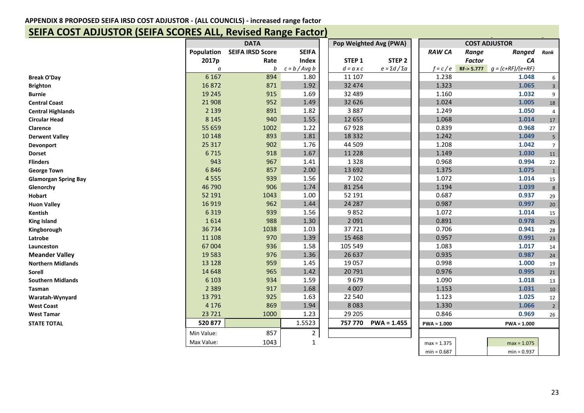#### **APPENDIX 8 PROPOSED SEIFA IRSD COST ADJUSTOR ‐ (ALL COUNCILS) ‐ increased range factor**

### **SEIFA COST ADJUSTOR (SEIFA SCORES ALL, Revised Range Factor)**

|                             |                                       |      |                 | Pop Weighted Avg (PWA) | <b>COST ADJUSTOR</b>      |               |               |                     |                         |
|-----------------------------|---------------------------------------|------|-----------------|------------------------|---------------------------|---------------|---------------|---------------------|-------------------------|
|                             | <b>SEIFA IRSD Score</b><br>Population |      | <b>SEIFA</b>    |                        |                           | <b>RAW CA</b> | Range         | <b>Ranged</b>       | Rank                    |
|                             | 2017p                                 | Rate | <b>Index</b>    | STEP 1                 | STEP <sub>2</sub>         |               | <b>Factor</b> | CA                  |                         |
|                             | a                                     | b    | $c = b / Avg b$ | $d = a \times c$       | $e = \Sigma d / \Sigma a$ | $f = c / e$   | RF > 5.777    | $g = (c+RF)/(e+RF)$ |                         |
| <b>Break O'Day</b>          | 6 1 6 7                               | 894  | 1.80            | 11 107                 |                           | 1.238         |               | 1.048               | 6                       |
| <b>Brighton</b>             | 16872                                 | 871  | 1.92            | 32 474                 |                           | 1.323         |               | 1.065               | $\mathbf{3}$            |
| <b>Burnie</b>               | 19 245                                | 915  | 1.69            | 32 489                 |                           | 1.160         |               | 1.032               | 9                       |
| <b>Central Coast</b>        | 21 908                                | 952  | 1.49            | 32 626                 |                           | 1.024         |               | 1.005               | $18\,$                  |
| <b>Central Highlands</b>    | 2 1 3 9                               | 891  | 1.82            | 3887                   |                           | 1.249         |               | 1.050               | $\overline{4}$          |
| <b>Circular Head</b>        | 8 1 4 5                               | 940  | 1.55            | 12 655                 |                           | 1.068         |               | 1.014               | $17$                    |
| Clarence                    | 55 659                                | 1002 | 1.22            | 67928                  |                           | 0.839         |               | 0.968               | 27                      |
| <b>Derwent Valley</b>       | 10 148                                | 893  | 1.81            | 18 3 32                |                           | 1.242         |               | 1.049               | $\overline{\mathbf{5}}$ |
| Devonport                   | 25 317                                | 902  | 1.76            | 44 509                 |                           | 1.208         |               | 1.042               | $\overline{7}$          |
| <b>Dorset</b>               | 6715                                  | 918  | 1.67            | 11 2 28                |                           | 1.149         |               | 1.030               | 11                      |
| <b>Flinders</b>             | 943                                   | 967  | 1.41            | 1328                   |                           | 0.968         |               | 0.994               | 22                      |
| <b>George Town</b>          | 6846                                  | 857  | 2.00            | 13 692                 |                           | 1.375         |               | 1.075               | $\mathbf 1$             |
| <b>Glamorgan Spring Bay</b> | 4555                                  | 939  | 1.56            | 7 1 0 2                |                           | 1.072         |               | 1.014               | 15                      |
| Glenorchy                   | 46 790                                | 906  | 1.74            | 81 254                 |                           | 1.194         |               | 1.039               | $\bf 8$                 |
| <b>Hobart</b>               | 52 191                                | 1043 | 1.00            | 52 191                 |                           | 0.687         |               | 0.937               | 29                      |
| <b>Huon Valley</b>          | 16919                                 | 962  | 1.44            | 24 28 7                |                           | 0.987         |               | 0.997               | $20\,$                  |
| Kentish                     | 6319                                  | 939  | 1.56            | 9852                   |                           | 1.072         |               | 1.014               | 15                      |
| <b>King Island</b>          | 1614                                  | 988  | 1.30            | 2 0 9 1                |                           | 0.891         |               | 0.978               | $25\,$                  |
| Kingborough                 | 36 734                                | 1038 | 1.03            | 37721                  |                           | 0.706         |               | 0.941               | 28                      |
| Latrobe                     | 11 108                                | 970  | 1.39            | 15 4 68                |                           | 0.957         |               | 0.991               | $23\,$                  |
| Launceston                  | 67 004                                | 936  | 1.58            | 105 549                |                           | 1.083         |               | 1.017               | 14                      |
| <b>Meander Valley</b>       | 19583                                 | 976  | 1.36            | 26 637                 |                           | 0.935         |               | 0.987               | $24\,$                  |
| <b>Northern Midlands</b>    | 13 1 28                               | 959  | 1.45            | 19 0 57                |                           | 0.998         |               | 1.000               | 19                      |
| <b>Sorell</b>               | 14 6 48                               | 965  | 1.42            | 20791                  |                           | 0.976         |               | 0.995               | 21                      |
| <b>Southern Midlands</b>    | 6 1 0 3                               | 934  | 1.59            | 9679                   |                           | 1.090         |               | 1.018               | 13                      |
| <b>Tasman</b>               | 2 3 8 9                               | 917  | 1.68            | 4 0 0 7                |                           | 1.153         |               | 1.031               | $10\,$                  |
| Waratah-Wynyard             | 13791                                 | 925  | 1.63            | 22 540                 |                           | 1.123         |               | 1.025               | 12                      |
| <b>West Coast</b>           | 4 1 7 6                               | 869  | 1.94            | 8083                   |                           | 1.330         |               | 1.066               | $\overline{2}$          |
| <b>West Tamar</b>           | 23721                                 | 1000 | 1.23            | 29 20 5                |                           | 0.846         |               | 0.969               | 26                      |
| <b>STATE TOTAL</b>          | 520 877                               |      | 1.5523          | 757 770                | $PWA = 1.455$             | $PWA = 1.000$ |               | $PWA = 1.000$       |                         |
|                             | Min Value:                            | 857  | $\mathbf{2}$    |                        |                           |               |               |                     |                         |
|                             | Max Value:                            | 1043 | $\mathbf{1}$    |                        |                           | $max = 1.375$ |               | $max = 1.075$       |                         |

min = 0.687 min = 0.937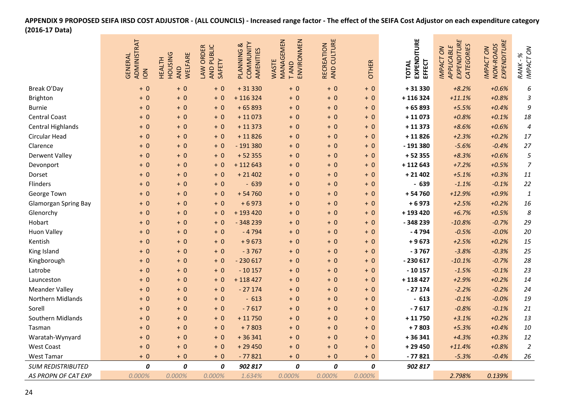#### **APPENDIX 9 PROPOSED SEIFA IRSD COST ADJUSTOR ‐ (ALL COUNCILS) ‐ Increased range factor ‐ The effect of the SEIFA Cost Adjustor on each expenditure category (2016‐17 Data)**

|                             | ADMINISTRAT<br>GENERAL<br>NOI | <b>HOUSING</b><br>WELFARE<br><b>HEALTH</b><br>AND | AND PUBLIC<br>LAW ORDER<br>SAFETY | COMMUNITY<br>PLANNING &<br>AMENITIES | MANAGEMEN<br>ENVIRONMEN<br>WASTE<br><b>TAND</b> | AND CULTURE<br>RECREATION | <b>OTHER</b> | EXPENDITURE<br>EFFECT<br>TOTAL | EXPENDITURE<br>CATEGORIES<br>APPLICABLE<br><b>IMPACT ON</b> | EXPENDITURE<br>NON-ROADS<br><b>IMPACT ON</b> | IMPACT ON<br>RANK-%       |
|-----------------------------|-------------------------------|---------------------------------------------------|-----------------------------------|--------------------------------------|-------------------------------------------------|---------------------------|--------------|--------------------------------|-------------------------------------------------------------|----------------------------------------------|---------------------------|
| Break O'Day                 | $+0$                          | $+0$                                              | $+0$                              | $+31330$                             | $+0$                                            | $+0$                      | $+0$         | +31330                         | $+8.2%$                                                     | $+0.6%$                                      | 6                         |
| Brighton                    | $+0$                          | $+0$                                              | $+0$                              | $+116324$                            | $+0$                                            | $+0$                      | $+0$         | +116324                        | $+11.1%$                                                    | $+0.8%$                                      | $\ensuremath{\mathsf{3}}$ |
| <b>Burnie</b>               | $+0$                          | $+0$                                              | $+0$                              | $+65893$                             | $+ 0$                                           | $+0$                      | $+0$         | $+65893$                       | $+5.5%$                                                     | $+0.4%$                                      | 9                         |
| <b>Central Coast</b>        | $+0$                          | $+0$                                              | $+0$                              | $+11073$                             | $+ 0$                                           | $+0$                      | $+0$         | $+11073$                       | $+0.8%$                                                     | $+0.1%$                                      | 18                        |
| <b>Central Highlands</b>    | $+0$                          | $+0$                                              | $+0$                              | $+11373$                             | $+ 0$                                           | $+0$                      | $+0$         | $+11373$                       | $+8.6%$                                                     | $+0.6%$                                      | $\pmb{4}$                 |
| Circular Head               | $+0$                          | $+0$                                              | $+0$                              | $+11826$                             | $+ 0$                                           | $+0$                      | $+0$         | $+11826$                       | $+2.3%$                                                     | $+0.2%$                                      | 17                        |
| Clarence                    | $+0$                          | $+0$                                              | $+0$                              | $-191380$                            | $+0$                                            | $+ 0$                     | $+0$         | $-191380$                      | $-5.6%$                                                     | $-0.4%$                                      | 27                        |
| <b>Derwent Valley</b>       | $+0$                          | $+0$                                              | $+0$                              | $+52355$                             | $+0$                                            | $+0$                      | $+0$         | $+52355$                       | $+8.3%$                                                     | $+0.6%$                                      | $\sqrt{5}$                |
| Devonport                   | $+0$                          | $+0$                                              | $+0$                              | $+112643$                            | $+0$                                            | $+0$                      | $+0$         | +112643                        | $+7.2%$                                                     | $+0.5%$                                      | $\overline{7}$            |
| Dorset                      | $+0$                          | $+0$                                              | $+0$                              | $+21402$                             | $+0$                                            | $+0$                      | $+0$         | $+21402$                       | $+5.1%$                                                     | $+0.3%$                                      | 11                        |
| Flinders                    | $+0$                          | $+0$                                              | $+0$                              | $-639$                               | $+0$                                            | $+0$                      | $+0$         | $-639$                         | $-1.1%$                                                     | $-0.1%$                                      | 22                        |
| George Town                 | $+0$                          | $+0$                                              | $+0$                              | $+54760$                             | $+0$                                            | $+0$                      | $+0$         | $+54760$                       | $+12.9%$                                                    | $+0.9%$                                      | $\pmb{\mathit{1}}$        |
| <b>Glamorgan Spring Bay</b> | $+0$                          | $+0$                                              | $+0$                              | $+6973$                              | $+0$                                            | $+0$                      | $+0$         | $+6973$                        | $+2.5%$                                                     | $+0.2%$                                      | 16                        |
| Glenorchy                   | $+0$                          | $+0$                                              | $+0$                              | + 193 420                            | $+0$                                            | $+0$                      | $+0$         | +193420                        | $+6.7%$                                                     | $+0.5%$                                      | 8                         |
| Hobart                      | $+0$                          | $+0$                                              | $+0$                              | $-348239$                            | $+0$                                            | $+0$                      | $+0$         | $-348239$                      | $-10.8%$                                                    | $-0.7%$                                      | 29                        |
| <b>Huon Valley</b>          | $+0$                          | $+0$                                              | $+0$                              | $-4794$                              | $+0$                                            | $+0$                      | $+0$         | $-4794$                        | $-0.5%$                                                     | $-0.0%$                                      | 20                        |
| Kentish                     | $+0$                          | $+0$                                              | $+0$                              | $+9673$                              | $+0$                                            | $+0$                      | $+0$         | $+9673$                        | $+2.5%$                                                     | $+0.2%$                                      | 15                        |
| King Island                 | $+0$                          | $+0$                                              | $+0$                              | $-3767$                              | $+0$                                            | $+0$                      | $+0$         | $-3767$                        | $-3.8%$                                                     | $-0.3%$                                      | 25                        |
| Kingborough                 | $+0$                          | $+0$                                              | $+0$                              | $-230617$                            | $+ 0$                                           | $+0$                      | $+0$         | $-230617$                      | $-10.1%$                                                    | $-0.7%$                                      | 28                        |
| Latrobe                     | $+0$                          | $+0$                                              | $+0$                              | $-10157$                             | $+0$                                            | $+0$                      | $+0$         | $-10157$                       | $-1.5%$                                                     | $-0.1%$                                      | 23                        |
| Launceston                  | $+0$                          | $+0$                                              | $+0$                              | $+118427$                            | $+0$                                            | $+0$                      | $+0$         | +118427                        | $+2.9%$                                                     | $+0.2%$                                      | 14                        |
| <b>Meander Valley</b>       | $+0$                          | $+0$                                              | $+0$                              | $-27174$                             | $+0$                                            | $+0$                      | $+0$         | $-27174$                       | $-2.2%$                                                     | $-0.2%$                                      | 24                        |
| Northern Midlands           | $+0$                          | $+0$                                              | $+0$                              | $-613$                               | $+0$                                            | $+0$                      | $+0$         | $-613$                         | $-0.1%$                                                     | $-0.0%$                                      | 19                        |
| Sorell                      | $+0$                          | $+0$                                              | $+0$                              | $-7617$                              | $+0$                                            | $+0$                      | $+0$         | $-7617$                        | $-0.8%$                                                     | $-0.1%$                                      | 21                        |
| Southern Midlands           | $+0$                          | $+0$                                              | $+0$                              | $+11750$                             | $+0$                                            | $+0$                      | $+0$         | $+11750$                       | $+3.1%$                                                     | $+0.2%$                                      | 13                        |
| Tasman                      | $+0$                          | $+0$                                              | $+0$                              | $+7803$                              | $+0$                                            | $+0$                      | $+0$         | $+7803$                        | $+5.3%$                                                     | $+0.4%$                                      | 10                        |
| Waratah-Wynyard             | $+0$                          | $+0$                                              | $+0$                              | $+36341$                             | $+0$                                            | $+0$                      | $+0$         | $+36341$                       | $+4.3%$                                                     | $+0.3%$                                      | 12                        |
| <b>West Coast</b>           | $+0$                          | $+0$                                              | $+0$                              | $+29450$                             | $+0$                                            | $+0$                      | $+0$         | +29450                         | $+11.4%$                                                    | $+0.8%$                                      | $\boldsymbol{2}$          |
| West Tamar                  | $+0$                          | $+0$                                              | $+0$                              | $-77821$                             | $+ 0$                                           | $+0$                      | $+0$         | $-77821$                       | $-5.3%$                                                     | $-0.4%$                                      | 26                        |
| <b>SUM REDISTRIBUTED</b>    | 0                             | 0                                                 | 0                                 | 902 817                              | 0                                               | 0                         | 0            | 902 817                        |                                                             |                                              |                           |
| AS PROPN OF CAT EXP         | 0.000%                        | 0.000%                                            | 0.000%                            | 1.634%                               | 0.000%                                          | 0.000%                    | 0.000%       |                                | 2.798%                                                      | 0.139%                                       |                           |